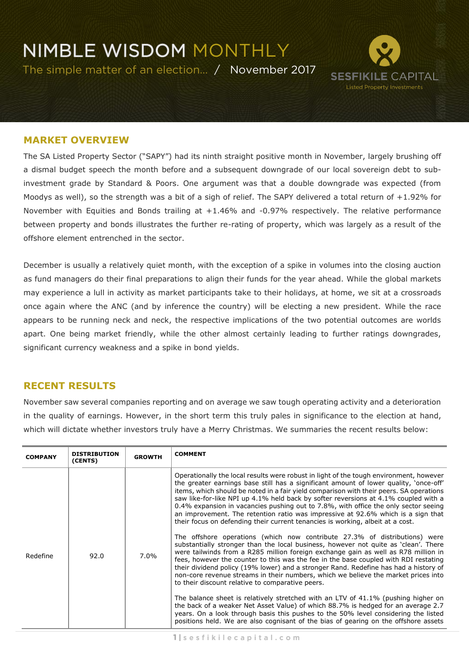### **NIMBLE WISDOM MONTHLY** The simple matter of an election... / November 2017 **SESFIKILE CAPITAL Listed Property Investments**

#### **MARKET OVERVIEW**

The SA Listed Property Sector ("SAPY") had its ninth straight positive month in November, largely brushing off a dismal budget speech the month before and a subsequent downgrade of our local sovereign debt to subinvestment grade by Standard & Poors. One argument was that a double downgrade was expected (from Moodys as well), so the strength was a bit of a sigh of relief. The SAPY delivered a total return of +1.92% for November with Equities and Bonds trailing at +1.46% and -0.97% respectively. The relative performance between property and bonds illustrates the further re-rating of property, which was largely as a result of the offshore element entrenched in the sector.

December is usually a relatively quiet month, with the exception of a spike in volumes into the closing auction as fund managers do their final preparations to align their funds for the year ahead. While the global markets may experience a lull in activity as market participants take to their holidays, at home, we sit at a crossroads once again where the ANC (and by inference the country) will be electing a new president. While the race appears to be running neck and neck, the respective implications of the two potential outcomes are worlds apart. One being market friendly, while the other almost certainly leading to further ratings downgrades, significant currency weakness and a spike in bond yields.

#### **RECENT RESULTS**

November saw several companies reporting and on average we saw tough operating activity and a deterioration in the quality of earnings. However, in the short term this truly pales in significance to the election at hand, which will dictate whether investors truly have a Merry Christmas. We summaries the recent results below:

| <b>COMPANY</b> | <b>DISTRIBUTION</b><br>(CENTS) | <b>GROWTH</b> | <b>COMMENT</b>                                                                                                                                                                                                                                                                                                                                                                                                                                                                                                                                                                                                                 |
|----------------|--------------------------------|---------------|--------------------------------------------------------------------------------------------------------------------------------------------------------------------------------------------------------------------------------------------------------------------------------------------------------------------------------------------------------------------------------------------------------------------------------------------------------------------------------------------------------------------------------------------------------------------------------------------------------------------------------|
| Redefine       | 92.0                           | 7.0%          | Operationally the local results were robust in light of the tough environment, however<br>the greater earnings base still has a significant amount of lower quality, 'once-off'<br>items, which should be noted in a fair yield comparison with their peers. SA operations<br>saw like-for-like NPI up 4.1% held back by softer reversions at 4.1% coupled with a<br>0.4% expansion in vacancies pushing out to 7.8%, with office the only sector seeing<br>an improvement. The retention ratio was impressive at 92.6% which is a sign that<br>their focus on defending their current tenancies is working, albeit at a cost. |
|                |                                |               | The offshore operations (which now contribute 27.3% of distributions) were<br>substantially stronger than the local business, however not quite as 'clean'. There<br>were tailwinds from a R285 million foreign exchange gain as well as R78 million in<br>fees, however the counter to this was the fee in the base coupled with RDI restating<br>their dividend policy (19% lower) and a stronger Rand. Redefine has had a history of<br>non-core revenue streams in their numbers, which we believe the market prices into<br>to their discount relative to comparative peers.                                              |
|                |                                |               | The balance sheet is relatively stretched with an LTV of 41.1% (pushing higher on<br>the back of a weaker Net Asset Value) of which 88.7% is hedged for an average 2.7<br>years. On a look through basis this pushes to the 50% level considering the listed<br>positions held. We are also cognisant of the bias of gearing on the offshore assets                                                                                                                                                                                                                                                                            |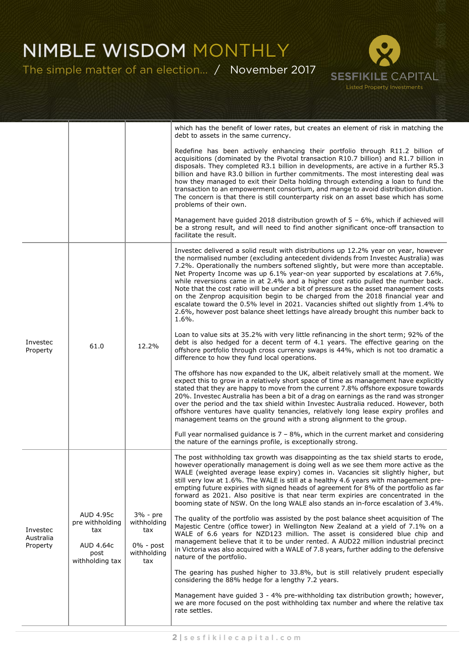

|                                   |                                                                             |                                                                        | which has the benefit of lower rates, but creates an element of risk in matching the<br>debt to assets in the same currency.                                                                                                                                                                                                                                                                                                                                                                                                                                                                                                                                                                                                                                                                                |
|-----------------------------------|-----------------------------------------------------------------------------|------------------------------------------------------------------------|-------------------------------------------------------------------------------------------------------------------------------------------------------------------------------------------------------------------------------------------------------------------------------------------------------------------------------------------------------------------------------------------------------------------------------------------------------------------------------------------------------------------------------------------------------------------------------------------------------------------------------------------------------------------------------------------------------------------------------------------------------------------------------------------------------------|
|                                   |                                                                             |                                                                        | Redefine has been actively enhancing their portfolio through R11.2 billion of<br>acquisitions (dominated by the Pivotal transaction R10.7 billion) and R1.7 billion in<br>disposals. They completed R3.1 billion in developments, are active in a further R5.3<br>billion and have R3.0 billion in further commitments. The most interesting deal was<br>how they managed to exit their Delta holding through extending a loan to fund the<br>transaction to an empowerment consortium, and mange to avoid distribution dilution.<br>The concern is that there is still counterparty risk on an asset base which has some<br>problems of their own.                                                                                                                                                         |
|                                   |                                                                             |                                                                        | Management have guided 2018 distribution growth of $5 - 6\%$ , which if achieved will<br>be a strong result, and will need to find another significant once-off transaction to<br>facilitate the result.                                                                                                                                                                                                                                                                                                                                                                                                                                                                                                                                                                                                    |
| Investec<br>Property              | 61.0                                                                        | 12.2%                                                                  | Investec delivered a solid result with distributions up 12.2% year on year, however<br>the normalised number (excluding antecedent dividends from Investec Australia) was<br>7.2%. Operationally the numbers softened slightly, but were more than acceptable.<br>Net Property Income was up 6.1% year-on year supported by escalations at 7.6%,<br>while reversions came in at 2.4% and a higher cost ratio pulled the number back.<br>Note that the cost ratio will be under a bit of pressure as the asset management costs<br>on the Zenprop acquisition begin to be charged from the 2018 financial year and<br>escalate toward the 0.5% level in 2021. Vacancies shifted out slightly from 1.4% to<br>2.6%, however post balance sheet lettings have already brought this number back to<br>$1.6\%$ . |
|                                   |                                                                             |                                                                        | Loan to value sits at 35.2% with very little refinancing in the short term; 92% of the<br>debt is also hedged for a decent term of 4.1 years. The effective gearing on the<br>offshore portfolio through cross currency swaps is 44%, which is not too dramatic a<br>difference to how they fund local operations.                                                                                                                                                                                                                                                                                                                                                                                                                                                                                          |
|                                   |                                                                             |                                                                        | The offshore has now expanded to the UK, albeit relatively small at the moment. We<br>expect this to grow in a relatively short space of time as management have explicitly<br>stated that they are happy to move from the current 7.8% offshore exposure towards<br>20%. Investec Australia has been a bit of a drag on earnings as the rand was stronger<br>over the period and the tax shield within Investec Australia reduced. However, both<br>offshore ventures have quality tenancies, relatively long lease expiry profiles and<br>management teams on the ground with a strong alignment to the group.                                                                                                                                                                                            |
|                                   |                                                                             |                                                                        | Full year normalised guidance is $7 - 8\%$ , which in the current market and considering<br>the nature of the earnings profile, is exceptionally strong.                                                                                                                                                                                                                                                                                                                                                                                                                                                                                                                                                                                                                                                    |
| Investec<br>Australia<br>Property | AUD 4.95c<br>pre withholding<br>tax<br>AUD 4.64c<br>post<br>withholding tax | $3%$ - pre<br>withholding<br>tax<br>$0\%$ - post<br>withholding<br>tax | The post withholding tax growth was disappointing as the tax shield starts to erode,<br>however operationally management is doing well as we see them more active as the<br>WALE (weighted average lease expiry) comes in. Vacancies sit slightly higher, but<br>still very low at 1.6%. The WALE is still at a healthy 4.6 years with management pre-<br>empting future expiries with signed heads of agreement for 8% of the portfolio as far<br>forward as 2021. Also positive is that near term expiries are concentrated in the<br>booming state of NSW. On the long WALE also stands an in-force escalation of 3.4%.                                                                                                                                                                                  |
|                                   |                                                                             |                                                                        | The quality of the portfolio was assisted by the post balance sheet acquisition of The<br>Majestic Centre (office tower) in Wellington New Zealand at a yield of 7.1% on a<br>WALE of 6.6 years for NZD123 million. The asset is considered blue chip and<br>management believe that it to be under rented. A AUD22 million industrial precinct<br>in Victoria was also acquired with a WALE of 7.8 years, further adding to the defensive<br>nature of the portfolio.                                                                                                                                                                                                                                                                                                                                      |
|                                   |                                                                             |                                                                        | The gearing has pushed higher to 33.8%, but is still relatively prudent especially<br>considering the 88% hedge for a lengthy 7.2 years.                                                                                                                                                                                                                                                                                                                                                                                                                                                                                                                                                                                                                                                                    |
|                                   |                                                                             |                                                                        | Management have guided 3 - 4% pre-withholding tax distribution growth; however,<br>we are more focused on the post withholding tax number and where the relative tax<br>rate settles.                                                                                                                                                                                                                                                                                                                                                                                                                                                                                                                                                                                                                       |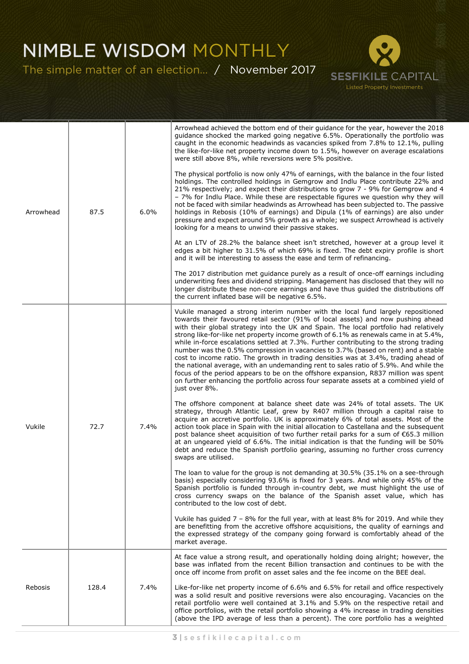

| Arrowhead | 87.5  | 6.0% | Arrowhead achieved the bottom end of their guidance for the year, however the 2018<br>guidance shocked the marked going negative 6.5%. Operationally the portfolio was<br>caught in the economic headwinds as vacancies spiked from 7.8% to 12.1%, pulling<br>the like-for-like net property income down to 1.5%, however on average escalations<br>were still above 8%, while reversions were 5% positive.<br>The physical portfolio is now only 47% of earnings, with the balance in the four listed<br>holdings. The controlled holdings in Gemgrow and Indlu Place contribute 22% and<br>21% respectively; and expect their distributions to grow 7 - 9% for Gemgrow and 4<br>- 7% for Indlu Place. While these are respectable figures we question why they will<br>not be faced with similar headwinds as Arrowhead has been subjected to. The passive<br>holdings in Rebosis (10% of earnings) and Dipula (1% of earnings) are also under<br>pressure and expect around 5% growth as a whole; we suspect Arrowhead is actively<br>looking for a means to unwind their passive stakes.<br>At an LTV of 28.2% the balance sheet isn't stretched, however at a group level it<br>edges a bit higher to 31.5% of which 69% is fixed. The debt expiry profile is short<br>and it will be interesting to assess the ease and term of refinancing.<br>The 2017 distribution met guidance purely as a result of once-off earnings including<br>underwriting fees and dividend stripping. Management has disclosed that they will no<br>longer distribute these non-core earnings and have thus guided the distributions off<br>the current inflated base will be negative 6.5%.                                                                                                                                                                                                                                                                                                                                                                                                                                                                                                                                                                         |
|-----------|-------|------|--------------------------------------------------------------------------------------------------------------------------------------------------------------------------------------------------------------------------------------------------------------------------------------------------------------------------------------------------------------------------------------------------------------------------------------------------------------------------------------------------------------------------------------------------------------------------------------------------------------------------------------------------------------------------------------------------------------------------------------------------------------------------------------------------------------------------------------------------------------------------------------------------------------------------------------------------------------------------------------------------------------------------------------------------------------------------------------------------------------------------------------------------------------------------------------------------------------------------------------------------------------------------------------------------------------------------------------------------------------------------------------------------------------------------------------------------------------------------------------------------------------------------------------------------------------------------------------------------------------------------------------------------------------------------------------------------------------------------------------------------------------------------------------------------------------------------------------------------------------------------------------------------------------------------------------------------------------------------------------------------------------------------------------------------------------------------------------------------------------------------------------------------------------------------------------------------------------------------------------------------------|
| Vukile    | 72.7  | 7.4% | Vukile managed a strong interim number with the local fund largely repositioned<br>towards their favoured retail sector (91% of local assets) and now pushing ahead<br>with their global strategy into the UK and Spain. The local portfolio had relatively<br>strong like-for-like net property income growth of 6.1% as renewals came in at 5.4%,<br>while in-force escalations settled at 7.3%. Further contributing to the strong trading<br>number was the 0.5% compression in vacancies to 3.7% (based on rent) and a stable<br>cost to income ratio. The growth in trading densities was at 3.4%, trading ahead of<br>the national average, with an undemanding rent to sales ratio of 5.9%. And while the<br>focus of the period appears to be on the offshore expansion, R837 million was spent<br>on further enhancing the portfolio across four separate assets at a combined yield of<br>just over 8%.<br>The offshore component at balance sheet date was 24% of total assets. The UK<br>strategy, through Atlantic Leaf, grew by R407 million through a capital raise to<br>acquire an accretive portfolio. UK is approximately 6% of total assets. Most of the<br>action took place in Spain with the initial allocation to Castellana and the subsequent<br>post balance sheet acquisition of two further retail parks for a sum of €65.3 million<br>at an ungeared yield of 6.6%. The initial indication is that the funding will be 50%<br>debt and reduce the Spanish portfolio gearing, assuming no further cross currency<br>swaps are utilised.<br>The loan to value for the group is not demanding at 30.5% (35.1% on a see-through<br>basis) especially considering 93.6% is fixed for 3 years. And while only 45% of the<br>Spanish portfolio is funded through in-country debt, we must highlight the use of<br>cross currency swaps on the balance of the Spanish asset value, which has<br>contributed to the low cost of debt.<br>Vukile has guided $7 - 8\%$ for the full year, with at least 8% for 2019. And while they<br>are benefitting from the accretive offshore acquisitions, the quality of earnings and<br>the expressed strategy of the company going forward is comfortably ahead of the<br>market average. |
| Rebosis   | 128.4 | 7.4% | At face value a strong result, and operationally holding doing alright; however, the<br>base was inflated from the recent Billion transaction and continues to be with the<br>once off income from profit on asset sales and the fee income on the BEE deal.<br>Like-for-like net property income of 6.6% and 6.5% for retail and office respectively<br>was a solid result and positive reversions were also encouraging. Vacancies on the<br>retail portfolio were well contained at 3.1% and 5.9% on the respective retail and<br>office portfolios, with the retail portfolio showing a 4% increase in trading densities<br>(above the IPD average of less than a percent). The core portfolio has a weighted                                                                                                                                                                                                                                                                                                                                                                                                                                                                                                                                                                                                                                                                                                                                                                                                                                                                                                                                                                                                                                                                                                                                                                                                                                                                                                                                                                                                                                                                                                                                      |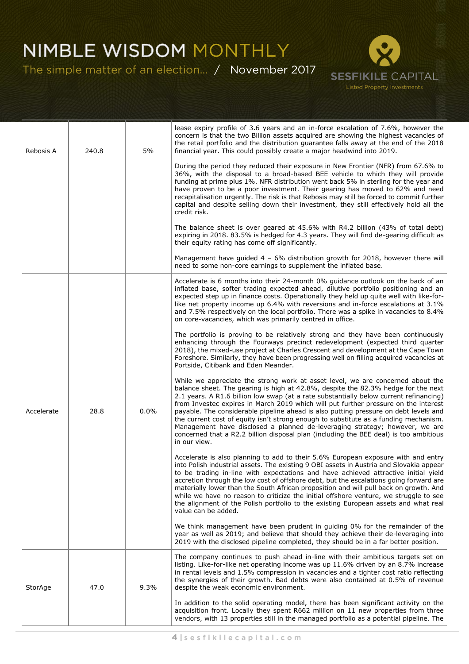

| Rebosis A  | 240.8 | 5%   | lease expiry profile of 3.6 years and an in-force escalation of 7.6%, however the<br>concern is that the two Billion assets acquired are showing the highest vacancies of<br>the retail portfolio and the distribution guarantee falls away at the end of the 2018<br>financial year. This could possibly create a major headwind into 2019.                                                                                                                                                                                                                                                                                                                                                                                 |
|------------|-------|------|------------------------------------------------------------------------------------------------------------------------------------------------------------------------------------------------------------------------------------------------------------------------------------------------------------------------------------------------------------------------------------------------------------------------------------------------------------------------------------------------------------------------------------------------------------------------------------------------------------------------------------------------------------------------------------------------------------------------------|
|            |       |      | During the period they reduced their exposure in New Frontier (NFR) from 67.6% to<br>36%, with the disposal to a broad-based BEE vehicle to which they will provide<br>funding at prime plus 1%. NFR distribution went back 5% in sterling for the year and<br>have proven to be a poor investment. Their gearing has moved to 62% and need<br>recapitalisation urgently. The risk is that Rebosis may still be forced to commit further<br>capital and despite selling down their investment, they still effectively hold all the<br>credit risk.                                                                                                                                                                           |
|            |       |      | The balance sheet is over geared at 45.6% with R4.2 billion (43% of total debt)<br>expiring in 2018. 83.5% is hedged for 4.3 years. They will find de-gearing difficult as<br>their equity rating has come off significantly.                                                                                                                                                                                                                                                                                                                                                                                                                                                                                                |
|            |       |      | Management have guided $4 - 6%$ distribution growth for 2018, however there will<br>need to some non-core earnings to supplement the inflated base.                                                                                                                                                                                                                                                                                                                                                                                                                                                                                                                                                                          |
|            |       |      | Accelerate is 6 months into their 24-month 0% guidance outlook on the back of an<br>inflated base, softer trading expected ahead, dilutive portfolio positioning and an<br>expected step up in finance costs. Operationally they held up quite well with like-for-<br>like net property income up 6.4% with reversions and in-force escalations at 3.1%<br>and 7.5% respectively on the local portfolio. There was a spike in vacancies to 8.4%<br>on core-vacancies, which was primarily centred in office.                                                                                                                                                                                                                 |
|            |       |      | The portfolio is proving to be relatively strong and they have been continuously<br>enhancing through the Fourways precinct redevelopment (expected third quarter<br>2018), the mixed-use project at Charles Crescent and development at the Cape Town<br>Foreshore. Similarly, they have been progressing well on filling acquired vacancies at<br>Portside, Citibank and Eden Meander.                                                                                                                                                                                                                                                                                                                                     |
| Accelerate | 28.8  | 0.0% | While we appreciate the strong work at asset level, we are concerned about the<br>balance sheet. The gearing is high at 42.8%, despite the 82.3% hedge for the next<br>2.1 years. A R1.6 billion low swap (at a rate substantially below current refinancing)<br>from Investec expires in March 2019 which will put further pressure on the interest<br>payable. The considerable pipeline ahead is also putting pressure on debt levels and<br>the current cost of equity isn't strong enough to substitute as a funding mechanism.<br>Management have disclosed a planned de-leveraging strategy; however, we are<br>concerned that a R2.2 billion disposal plan (including the BEE deal) is too ambitious<br>in our view. |
|            |       |      | Accelerate is also planning to add to their 5.6% European exposure with and entry<br>into Polish industrial assets. The existing 9 OBI assets in Austria and Slovakia appear<br>to be trading in-line with expectations and have achieved attractive initial yield<br>accretion through the low cost of offshore debt, but the escalations going forward are<br>materially lower than the South African proposition and will pull back on growth. And<br>while we have no reason to criticize the initial offshore venture, we struggle to see<br>the alignment of the Polish portfolio to the existing European assets and what real<br>value can be added.                                                                 |
|            |       |      | We think management have been prudent in guiding 0% for the remainder of the<br>year as well as 2019; and believe that should they achieve their de-leveraging into<br>2019 with the disclosed pipeline completed, they should be in a far better position.                                                                                                                                                                                                                                                                                                                                                                                                                                                                  |
| StorAge    | 47.0  | 9.3% | The company continues to push ahead in-line with their ambitious targets set on<br>listing. Like-for-like net operating income was up 11.6% driven by an 8.7% increase<br>in rental levels and 1.5% compression in vacancies and a tighter cost ratio reflecting<br>the synergies of their growth. Bad debts were also contained at 0.5% of revenue<br>despite the weak economic environment.                                                                                                                                                                                                                                                                                                                                |
|            |       |      | In addition to the solid operating model, there has been significant activity on the<br>acquisition front. Locally they spent R662 million on 11 new properties from three<br>vendors, with 13 properties still in the managed portfolio as a potential pipeline. The                                                                                                                                                                                                                                                                                                                                                                                                                                                        |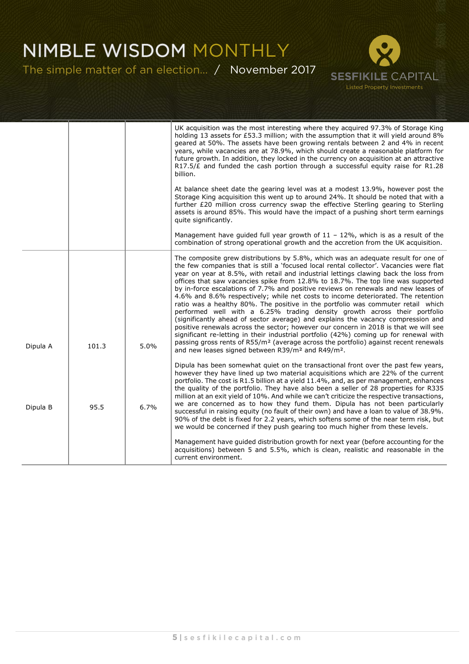

|       |      | UK acquisition was the most interesting where they acquired 97.3% of Storage King<br>holding 13 assets for £53.3 million; with the assumption that it will yield around 8%<br>geared at 50%. The assets have been growing rentals between 2 and 4% in recent<br>years, while vacancies are at 78.9%, which should create a reasonable platform for<br>future growth. In addition, they locked in the currency on acquisition at an attractive<br>R17.5/ $\epsilon$ and funded the cash portion through a successful equity raise for R1.28<br>billion.<br>At balance sheet date the gearing level was at a modest 13.9%, however post the<br>Storage King acquisition this went up to around 24%. It should be noted that with a<br>further £20 million cross currency swap the effective Sterling gearing to Sterling<br>assets is around 85%. This would have the impact of a pushing short term earnings<br>quite significantly.<br>Management have guided full year growth of $11 - 12\%$ , which is as a result of the<br>combination of strong operational growth and the accretion from the UK acquisition.                                         |
|-------|------|------------------------------------------------------------------------------------------------------------------------------------------------------------------------------------------------------------------------------------------------------------------------------------------------------------------------------------------------------------------------------------------------------------------------------------------------------------------------------------------------------------------------------------------------------------------------------------------------------------------------------------------------------------------------------------------------------------------------------------------------------------------------------------------------------------------------------------------------------------------------------------------------------------------------------------------------------------------------------------------------------------------------------------------------------------------------------------------------------------------------------------------------------------|
| 101.3 | 5.0% | The composite grew distributions by 5.8%, which was an adequate result for one of<br>the few companies that is still a 'focused local rental collector'. Vacancies were flat<br>year on year at 8.5%, with retail and industrial lettings clawing back the loss from<br>offices that saw vacancies spike from 12.8% to 18.7%. The top line was supported<br>by in-force escalations of 7.7% and positive reviews on renewals and new leases of<br>4.6% and 8.6% respectively; while net costs to income deteriorated. The retention<br>ratio was a healthy 80%. The positive in the portfolio was commuter retail which<br>performed well with a 6.25% trading density growth across their portfolio<br>(significantly ahead of sector average) and explains the vacancy compression and<br>positive renewals across the sector; however our concern in 2018 is that we will see<br>significant re-letting in their industrial portfolio (42%) coming up for renewal with<br>passing gross rents of R55/m <sup>2</sup> (average across the portfolio) against recent renewals<br>and new leases signed between R39/m <sup>2</sup> and R49/m <sup>2</sup> . |
| 95.5  | 6.7% | Dipula has been somewhat quiet on the transactional front over the past few years,<br>however they have lined up two material acquisitions which are 22% of the current<br>portfolio. The cost is R1.5 billion at a yield 11.4%, and, as per management, enhances<br>the quality of the portfolio. They have also been a seller of 28 properties for R335<br>million at an exit yield of 10%. And while we can't criticize the respective transactions,<br>we are concerned as to how they fund them. Dipula has not been particularly<br>successful in raising equity (no fault of their own) and have a loan to value of 38.9%.<br>90% of the debt is fixed for 2.2 years, which softens some of the near term risk, but<br>we would be concerned if they push gearing too much higher from these levels.<br>Management have guided distribution growth for next year (before accounting for the<br>acquisitions) between 5 and 5.5%, which is clean, realistic and reasonable in the                                                                                                                                                                    |
|       |      |                                                                                                                                                                                                                                                                                                                                                                                                                                                                                                                                                                                                                                                                                                                                                                                                                                                                                                                                                                                                                                                                                                                                                            |